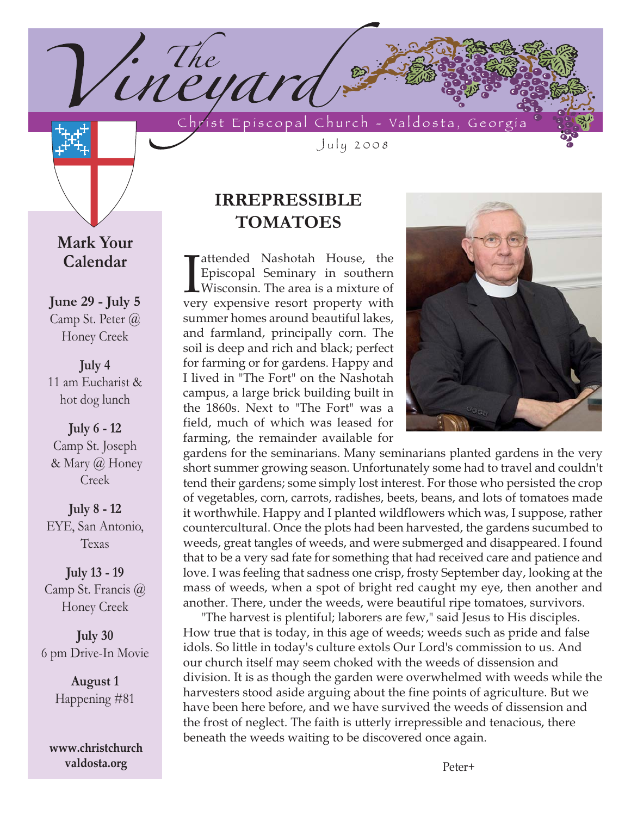'ineyard Christ Episcopal Church - Valdosta, Georgia

July 2008

# **Mark Your Calendar**

1. The

**June 29 - July 5** Camp St. Peter @ Honey Creek

**July 4** 11 am Eucharist & hot dog lunch

**July 6 - 12**  Camp St. Joseph & Mary @ Honey Creek

**July 8 - 12** EYE, San Antonio, Texas

**July 13 - 19** Camp St. Francis @ Honey Creek

**July 30**  6 pm Drive-In Movie

> **August 1** Happening #81

**www.christchurch valdosta.org**

# **IRREPRESSIBLE TOMATOES**

 $\prod_{\text{ver}}$ attended Nashotah House, the Episcopal Seminary in southern Wisconsin. The area is a mixture of very expensive resort property with summer homes around beautiful lakes, and farmland, principally corn. The soil is deep and rich and black; perfect for farming or for gardens. Happy and I lived in "The Fort" on the Nashotah campus, a large brick building built in the 1860s. Next to "The Fort" was a field, much of which was leased for farming, the remainder available for



gardens for the seminarians. Many seminarians planted gardens in the very short summer growing season. Unfortunately some had to travel and couldn't tend their gardens; some simply lost interest. For those who persisted the crop of vegetables, corn, carrots, radishes, beets, beans, and lots of tomatoes made it worthwhile. Happy and I planted wildflowers which was, I suppose, rather countercultural. Once the plots had been harvested, the gardens sucumbed to weeds, great tangles of weeds, and were submerged and disappeared. I found that to be a very sad fate for something that had received care and patience and love. I was feeling that sadness one crisp, frosty September day, looking at the mass of weeds, when a spot of bright red caught my eye, then another and another. There, under the weeds, were beautiful ripe tomatoes, survivors.

"The harvest is plentiful; laborers are few," said Jesus to His disciples. How true that is today, in this age of weeds; weeds such as pride and false idols. So little in today's culture extols Our Lord's commission to us. And our church itself may seem choked with the weeds of dissension and division. It is as though the garden were overwhelmed with weeds while the harvesters stood aside arguing about the fine points of agriculture. But we have been here before, and we have survived the weeds of dissension and the frost of neglect. The faith is utterly irrepressible and tenacious, there beneath the weeds waiting to be discovered once again.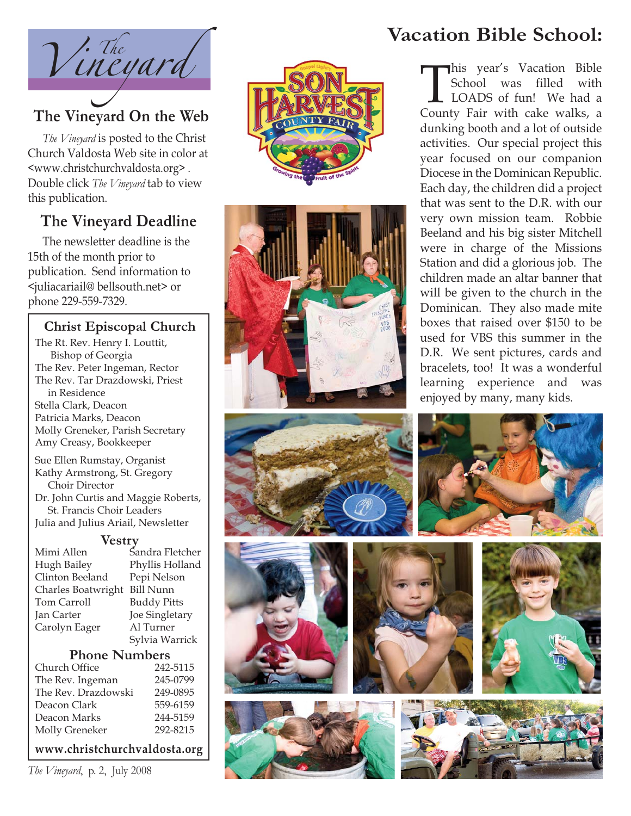

*The Vineyard* is posted to the Christ Church Valdosta Web site in color a t <www.christchurchvaldosta.org> . Double click *The Vineyard* tab to view this publication.

# **The Vineyard Deadline**

The newsletter deadline is the 15th of the month prior to publication. Send information to <juliacariail@ bellsouth.net> or phone 229-559-7329.

#### **Christ Episcopal Church**

The Rt. Rev. Henry I. Louttit, Bishop of Georgia The Rev. Peter Ingeman, Rector The Rev. Tar Drazdowski, Priest in Residence Stella Clark, Deacon Patricia Marks, Deacon Molly Greneker, Parish Secretary Amy Creasy, Bookkeeper Sue Ellen Rumstay, Organist

Kathy Armstrong, St. Gregory Choir Director Dr. John Curtis and Maggie Roberts, St. Francis Choir Leaders Julia and Julius Ariail, Newsletter

#### **Vestry**

Mimi Allen Sandra Fletcher Hugh Bailey Phyllis Holland Clinton Beeland Pepi Nelson Charles Boatwright Bill Nunn Tom Carroll Buddy Pitts Jan Carter Joe Singletary Carolyn Eager Al Turner Sylvia Warrick

#### **Phone Numbers**

| 242-5115 |
|----------|
| 245-0799 |
| 249-0895 |
| 559-6159 |
| 244-5159 |
| 292-8215 |
|          |

#### **www.christchurchvaldosta.org**

*The Vineyard*, p. 2, July 2008





# **Vacation Bible School:**

This year's Vacation Bible<br>School was filled with<br>LOADS of fun! We had a<br>County Fair with cake walks, a School was filled with LOADS of fun! We had a County Fair with cake walks, a dunking booth and a lot of outside activities. Our special project this year focused on our companion Diocese in the Dominican Republic. Each day, the children did a project that was sent to the D.R. with our very own mission team. Robbie Beeland and his big sister Mitchell were in charge of the Missions Station and did a glorious job. The children made an altar banner that will be given to the church in the Dominican. They also made mite boxes that raised over \$150 to be used for VBS this summer in the D.R. We sent pictures, cards and bracelets, too! It was a wonderful learning experience and was enjoyed by many, many kids.

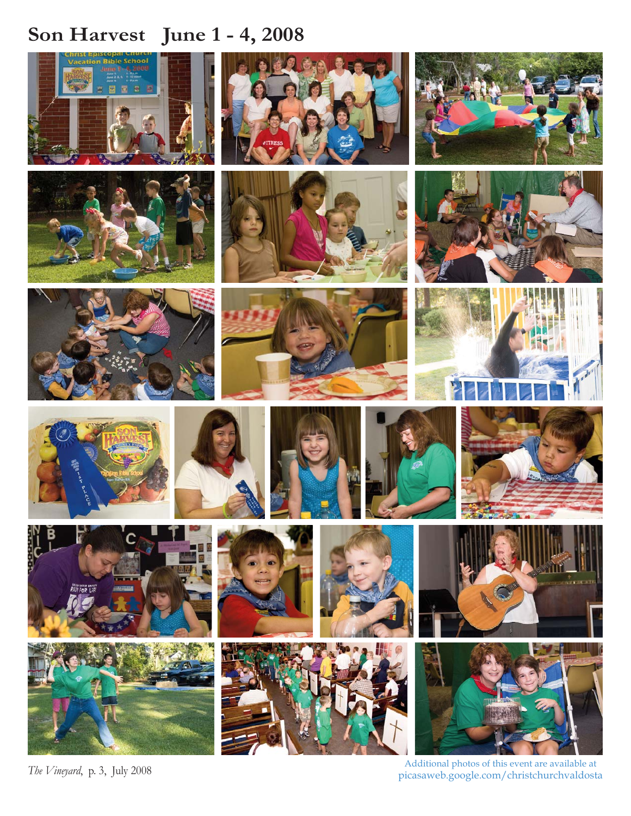# **Son Harvest June 1 - 4, 2008**



*The Vineyard*, p. 3, July 2008

Additional photos of this event are available at picasaweb.google.com/christchurchvaldosta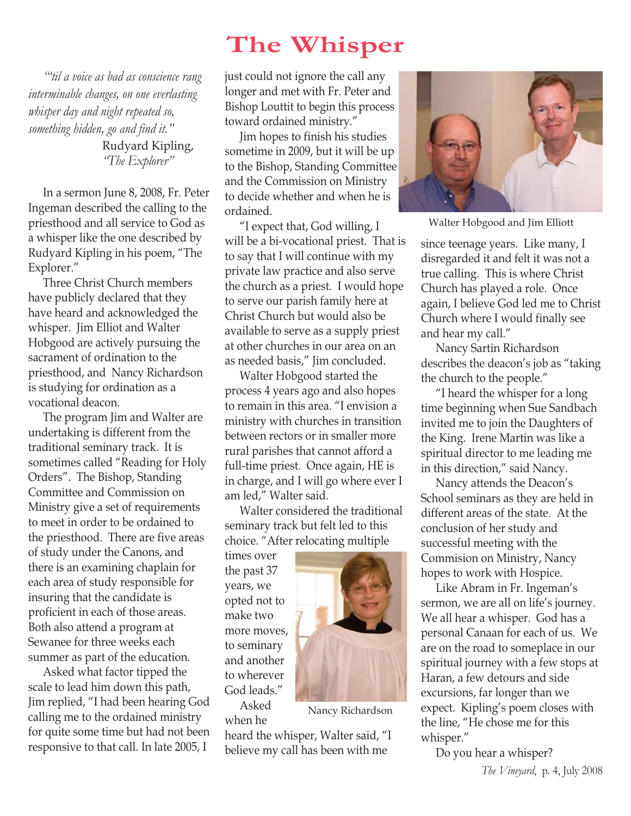# **The Whisper**

*"'til a voice as bad as conscience rang interminable changes, on one everlasting whisper day and night repeated so, something hidden, go and find it."* Rudyard Kipling, *"The Explorer"*

In a sermon June 8, 2008, Fr. Peter Ingeman described the calling to the priesthood and all service to God as a whisper like the one described by Rudyard Kipling in his poem, "The Explorer."

Three Christ Church members have publicly declared that they have heard and acknowledged the whisper. Jim Elliot and Walter Hobgood are actively pursuing the sacrament of ordination to the priesthood, and Nancy Richardson is studying for ordination as a vocational deacon.

The program Jim and Walter are undertaking is different from the traditional seminary track. It is sometimes called "Reading for Holy Orders". The Bishop, Standing Committee and Commission on Ministry give a set of requirements to meet in order to be ordained to the priesthood. There are five areas of study under the Canons, and there is an examining chaplain for each area of study responsible for insuring that the candidate is proficient in each of those areas. Both also attend a program at Sewanee for three weeks each summer as part of the education.

Asked what factor tipped the scale to lead him down this path, Jim replied, "I had been hearing God calling me to the ordained ministry for quite some time but had not been responsive to that call. In late 2005, I

just could not ignore the call any longer and met with Fr. Peter and Bishop Louttit to begin this process toward ordained ministry."

Jim hopes to finish his studies sometime in 2009, but it will be up to the Bishop, Standing Committee and the Commission on Ministry to decide whether and when he is ordained.

"I expect that, God willing, I will be a bi-vocational priest. That is to say that I will continue with my private law practice and also serve the church as a priest. I would hope to serve our parish family here at Christ Church but would also be available to serve as a supply priest at other churches in our area on an as needed basis," Jim concluded.

Walter Hobgood started the process 4 years ago and also hopes to remain in this area. "I envision a ministry with churches in transition between rectors or in smaller more rural parishes that cannot afford a full-time priest. Once again, HE is in charge, and I will go where ever I am led," Walter said.

Walter considered the traditional seminary track but felt led to this choice. "After relocating multiple

times over the past 37 years, we opted not to make two more moves, to seminary and another to wherever God leads."

Asked when he

heard the whisper, Walter said, "I believe my call has been with me



Walter Hobgood and Jim Elliott

since teenage years. Like many, I disregarded it and felt it was not a true calling. This is where Christ Church has played a role. Once again, I believe God led me to Christ Church where I would finally see and hear my call."

Nancy Sartin Richardson describes the deacon's job as "taking the church to the people."

"I heard the whisper for a long time beginning when Sue Sandbach invited me to join the Daughters of the King. Irene Martin was like a spiritual director to me leading me in this direction," said Nancy.

Nancy attends the Deacon's School seminars as they are held in different areas of the state. At the conclusion of her study and successful meeting with the Commision on Ministry, Nancy hopes to work with Hospice.

Like Abram in Fr. Ingeman's sermon, we are all on life's journey. We all hear a whisper. God has a personal Canaan for each of us. We are on the road to someplace in our spiritual journey with a few stops at Haran, a few detours and side excursions, far longer than we expect. Kipling's poem closes with the line, "He chose me for this whisper."

Do you hear a whisper?



Nancy Richardson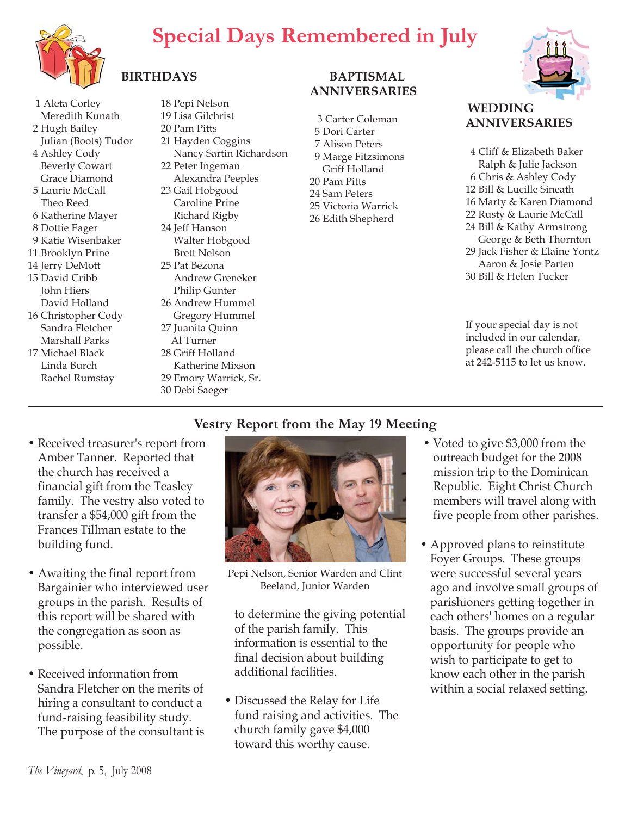# **Special Days Remembered in July**



## **BIRTHDAYS**

1 Aleta Corley Meredith Kunath 2 Hugh Bailey Julian (Boots) Tudor 4 Ashley Cody Beverly Cowart Grace Diamond 5 Laurie McCall Theo Reed 6 Katherine Mayer 8 Dottie Eager 9 Katie Wisenbaker 11 Brooklyn Prine 14 Jerry DeMott 15 David Cribb John Hiers David Holland 16 Christopher Cody Sandra Fletcher

Marshall Parks 17 Michael Black Linda Burch Rachel Rumstay 18 Pepi Nelson 19 Lisa Gilchrist 20 Pam Pitts 21 Hayden Coggins Nancy Sartin Richardson 22 Peter Ingeman Alexandra Peeples 23 Gail Hobgood Caroline Prine Richard Rigby 24 Jeff Hanson Walter Hobgood Brett Nelson 25 Pat Bezona Andrew Greneker Philip Gunter 26 Andrew Hummel

Gregory Hummel 27 Juanita Quinn Al Turner 28 Griff Holland

Katherine Mixson 29 Emory Warrick, Sr. 30 Debi Saeger

#### **BAPTISMAL ANNIVERSARIES**

3 Carter Coleman 5 Dori Carter 7 Alison Peters 9 Marge Fitzsimons Griff Holland 20 Pam Pitts 24 Sam Peters 25 Victoria Warrick 26 Edith Shepherd



#### **WEDDING ANNIVERSARIES**

4 Cliff & Elizabeth Baker Ralph & Julie Jackson 6 Chris & Ashley Cody 12 Bill & Lucille Sineath 16 Marty & Karen Diamond 22 Rusty & Laurie McCall 24 Bill & Kathy Armstrong George & Beth Thornton 29 Jack Fisher & Elaine Yontz Aaron & Josie Parten 30 Bill & Helen Tucker

If your special day is not included in our calendar, please call the church office at 242-5115 to let us know.

## **Vestry Report from the May 19 Meeting**

- Received treasurer's report from Amber Tanner. Reported that the church has received a financial gift from the Teasley family. The vestry also voted to transfer a \$54,000 gift from the Frances Tillman estate to the building fund.
- Awaiting the final report from Bargainier who interviewed user groups in the parish. Results of this report will be shared with the congregation as soon as possible.
- Received information from Sandra Fletcher on the merits of hiring a consultant to conduct a fund-raising feasibility study. The purpose of the consultant is



Pepi Nelson, Senior Warden and Clint Beeland, Junior Warden

to determine the giving potential of the parish family. This information is essential to the final decision about building additional facilities.

• Discussed the Relay for Life fund raising and activities. The church family gave \$4,000 toward this worthy cause.

- Voted to give \$3,000 from the outreach budget for the 2008 mission trip to the Dominican Republic. Eight Christ Church members will travel along with five people from other parishes.
- Approved plans to reinstitute Foyer Groups. These groups were successful several years ago and involve small groups of parishioners getting together in each others' homes on a regular basis. The groups provide an opportunity for people who wish to participate to get to know each other in the parish within a social relaxed setting.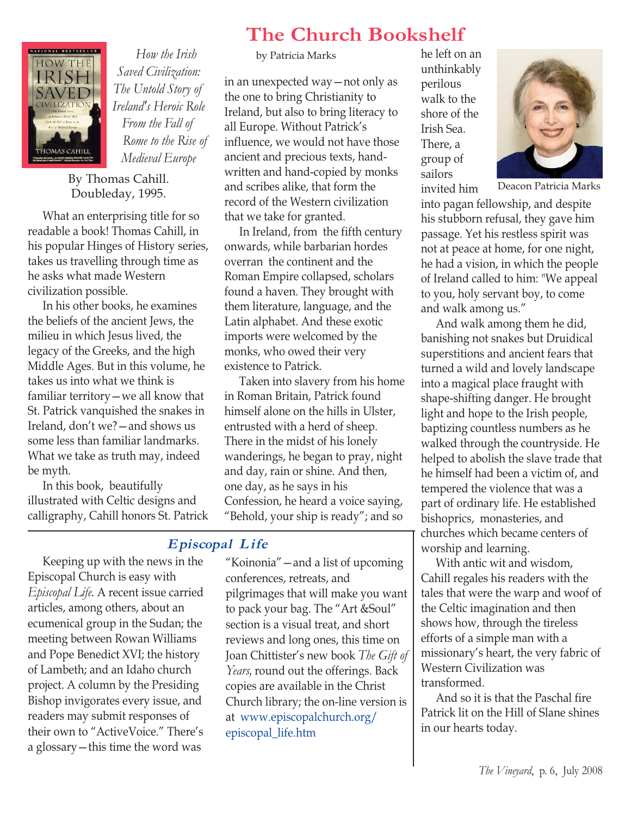

*How the Irish Saved Civilization: The Untold Story of Ireland's Heroic Role From the Fall of Rome to the Rise of Medieval Europe*

By Thomas Cahill. Doubleday, 1995.

What an enterprising title for so readable a book! Thomas Cahill, in his popular Hinges of History series, takes us travelling through time as he asks what made Western civilization possible.

In his other books, he examines the beliefs of the ancient Jews, the milieu in which Jesus lived, the legacy of the Greeks, and the high Middle Ages. But in this volume, he takes us into what we think is familiar territory—we all know that St. Patrick vanquished the snakes in Ireland, don't we?—and shows us some less than familiar landmarks. What we take as truth may, indeed be myth.

In this book, beautifully illustrated with Celtic designs and calligraphy, Cahill honors St. Patrick

# **The Church Bookshelf**

by Patricia Marks he left on an

in an unexpected way—not only as the one to bring Christianity to Ireland, but also to bring literacy to all Europe. Without Patrick's influence, we would not have those ancient and precious texts, handwritten and hand-copied by monks and scribes alike, that form the record of the Western civilization that we take for granted.

In Ireland, from the fifth century onwards, while barbarian hordes overran the continent and the Roman Empire collapsed, scholars found a haven. They brought with them literature, language, and the Latin alphabet. And these exotic imports were welcomed by the monks, who owed their very existence to Patrick.

Taken into slavery from his home in Roman Britain, Patrick found himself alone on the hills in Ulster, entrusted with a herd of sheep. There in the midst of his lonely wanderings, he began to pray, night and day, rain or shine. And then, one day, as he says in his Confession, he heard a voice saying, "Behold, your ship is ready"; and so

#### **Episcopal L ife**

Keeping up with the news in the Episcopal Church is easy with *Episcopal Life.* A recent issue carried articles, among others, about an ecumenical group in the Sudan; the meeting between Rowan Williams and Pope Benedict XVI; the history of Lambeth; and an Idaho church project. A column by the Presiding Bishop invigorates every issue, and readers may submit responses of their own to "ActiveVoice." There's a glossary—this time the word was

"Koinonia"—and a list of upcoming conferences, retreats, and pilgrimages that will make you want to pack your bag. The "Art &Soul" section is a visual treat, and short reviews and long ones, this time on Joan Chittister's new book *The Gift of Years,* round out the offerings. Back copies are available in the Christ Church library; the on-line version is at www.episcopalchurch.org/ episcopal\_life.htm

unthinkably perilous walk to the shore of the Irish Sea. There, a group of sailors



Deacon Patricia Marks

invited him into pagan fellowship, and despite his stubborn refusal, they gave him passage. Yet his restless spirit was not at peace at home, for one night, he had a vision, in which the people of Ireland called to him: "We appeal to you, holy servant boy, to come and walk among us."

And walk among them he did, banishing not snakes but Druidical superstitions and ancient fears that turned a wild and lovely landscape into a magical place fraught with shape-shifting danger. He brought light and hope to the Irish people, baptizing countless numbers as he walked through the countryside. He helped to abolish the slave trade that he himself had been a victim of, and tempered the violence that was a part of ordinary life. He established bishoprics, monasteries, and churches which became centers of worship and learning.

With antic wit and wisdom, Cahill regales his readers with the tales that were the warp and woof of the Celtic imagination and then shows how, through the tireless efforts of a simple man with a missionary's heart, the very fabric of Western Civilization was transformed.

And so it is that the Paschal fire Patrick lit on the Hill of Slane shines in our hearts today.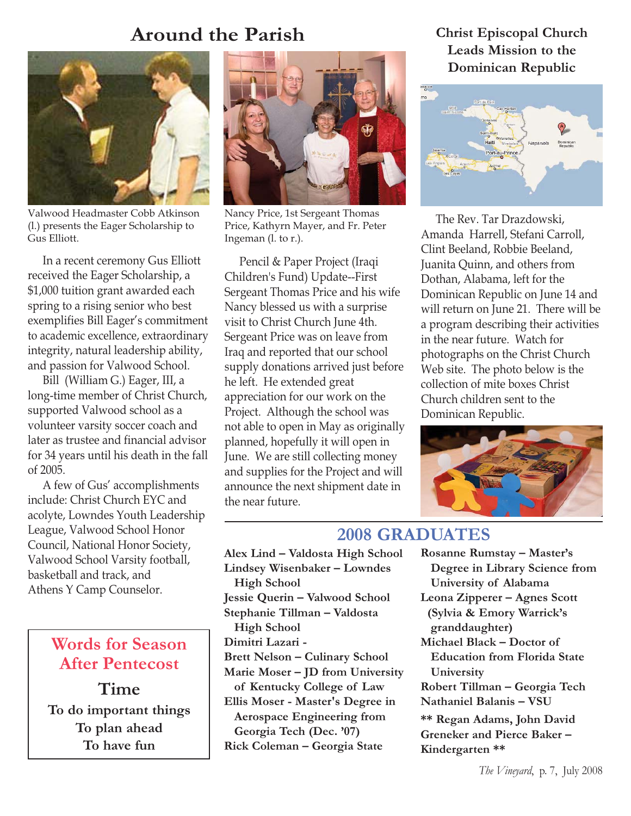## **Around the Parish**



Valwood Headmaster Cobb Atkinson (l.) presents the Eager Scholarship to Gus Elliott.

In a recent ceremony Gus Elliott received the Eager Scholarship, a \$1,000 tuition grant awarded each spring to a rising senior who best exemplifies Bill Eager's commitment to academic excellence, extraordinary integrity, natural leadership ability, and passion for Valwood School.

Bill (William G.) Eager, III, a long-time member of Christ Church, supported Valwood school as a volunteer varsity soccer coach and later as trustee and financial advisor for 34 years until his death in the fall of 2005.

A few of Gus' accomplishments include: Christ Church EYC and acolyte, Lowndes Youth Leadership League, Valwood School Honor Council, National Honor Society, Valwood School Varsity football, basketball and track, and Athens Y Camp Counselor.

## **Words for Season After Pentecost**

**Time To do important things To plan ahead To have fun**



Nancy Price, 1st Sergeant Thomas Price, Kathyrn Mayer, and Fr. Peter Ingeman (l. to r.).

Pencil & Paper Project (Iraqi Children's Fund) Update--First Sergeant Thomas Price and his wife Nancy blessed us with a surprise visit to Christ Church June 4th. Sergeant Price was on leave from Iraq and reported that our school supply donations arrived just before he left. He extended great appreciation for our work on the Project. Although the school was not able to open in May as originally planned, hopefully it will open in June. We are still collecting money and supplies for the Project and will announce the next shipment date in the near future.

#### **Christ Episcopal Church Leads Mission to the Dominican Republic**



The Rev. Tar Drazdowski, Amanda Harrell, Stefani Carroll, Clint Beeland, Robbie Beeland, Juanita Quinn, and others from Dothan, Alabama, left for the Dominican Republic on June 14 and will return on June 21. There will be a program describing their activities in the near future. Watch for photographs on the Christ Church Web site. The photo below is the collection of mite boxes Christ Church children sent to the Dominican Republic.



#### **2008 GRADUATES**

**Alex Lind – Valdosta High School Lindsey Wisenbaker – Lowndes High School Jessie Querin – Valwood School Stephanie Tillman – Valdosta High School Dimitri Lazari - Brett Nelson – Culinary School Marie Moser – JD from University of Kentucky College of Law Ellis Moser - Master's Degree in Aerospace Engineering from Georgia Tech (Dec. '07) Rick Coleman – Georgia State**

- **Rosanne Rumstay Master's Degree in Library Science from University of Alabama**
- **Leona Zipperer Agnes Scott (Sylvia & Emory Warrick's granddaughter)**
- **Michael Black Doctor of Education from Florida State University**

**Robert Tillman – Georgia Tech Nathaniel Balanis – VSU**

**\*\* Regan Adams, John David Greneker and Pierce Baker – Kindergarten \*\***